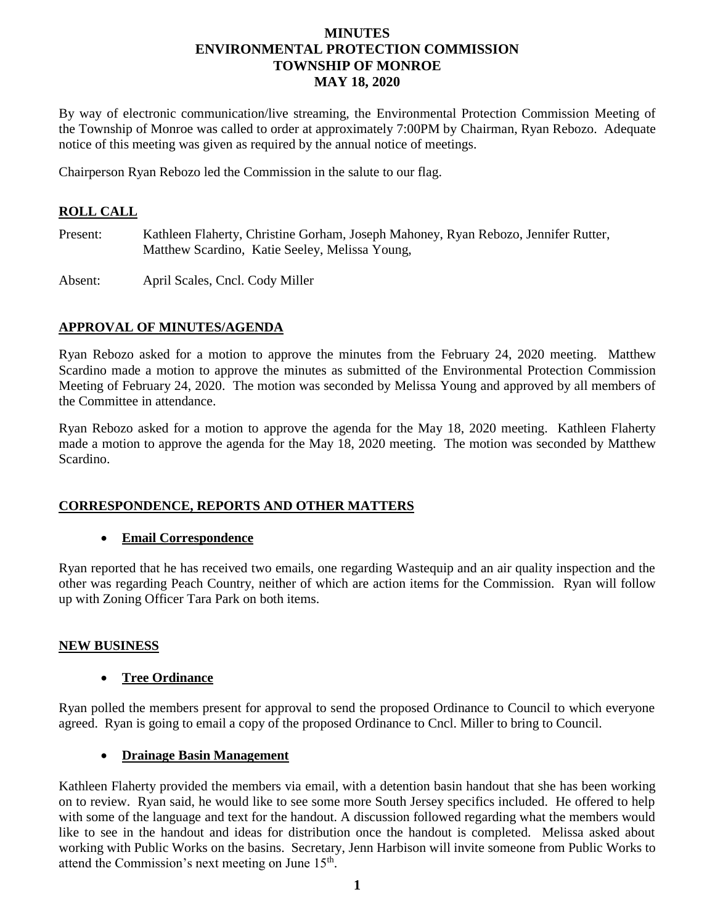## **MINUTES ENVIRONMENTAL PROTECTION COMMISSION TOWNSHIP OF MONROE MAY 18, 2020**

By way of electronic communication/live streaming, the Environmental Protection Commission Meeting of the Township of Monroe was called to order at approximately 7:00PM by Chairman, Ryan Rebozo. Adequate notice of this meeting was given as required by the annual notice of meetings.

Chairperson Ryan Rebozo led the Commission in the salute to our flag.

# **ROLL CALL**

Present: Kathleen Flaherty, Christine Gorham, Joseph Mahoney, Ryan Rebozo, Jennifer Rutter, Matthew Scardino, Katie Seeley, Melissa Young,

Absent: April Scales, Cncl. Cody Miller

# **APPROVAL OF MINUTES/AGENDA**

Ryan Rebozo asked for a motion to approve the minutes from the February 24, 2020 meeting. Matthew Scardino made a motion to approve the minutes as submitted of the Environmental Protection Commission Meeting of February 24, 2020. The motion was seconded by Melissa Young and approved by all members of the Committee in attendance.

Ryan Rebozo asked for a motion to approve the agenda for the May 18, 2020 meeting. Kathleen Flaherty made a motion to approve the agenda for the May 18, 2020 meeting. The motion was seconded by Matthew Scardino.

#### **CORRESPONDENCE, REPORTS AND OTHER MATTERS**

#### **Email Correspondence**

Ryan reported that he has received two emails, one regarding Wastequip and an air quality inspection and the other was regarding Peach Country, neither of which are action items for the Commission. Ryan will follow up with Zoning Officer Tara Park on both items.

#### **NEW BUSINESS**

#### **Tree Ordinance**

Ryan polled the members present for approval to send the proposed Ordinance to Council to which everyone agreed. Ryan is going to email a copy of the proposed Ordinance to Cncl. Miller to bring to Council.

#### **Drainage Basin Management**

Kathleen Flaherty provided the members via email, with a detention basin handout that she has been working on to review. Ryan said, he would like to see some more South Jersey specifics included. He offered to help with some of the language and text for the handout. A discussion followed regarding what the members would like to see in the handout and ideas for distribution once the handout is completed. Melissa asked about working with Public Works on the basins. Secretary, Jenn Harbison will invite someone from Public Works to attend the Commission's next meeting on June  $15<sup>th</sup>$ .